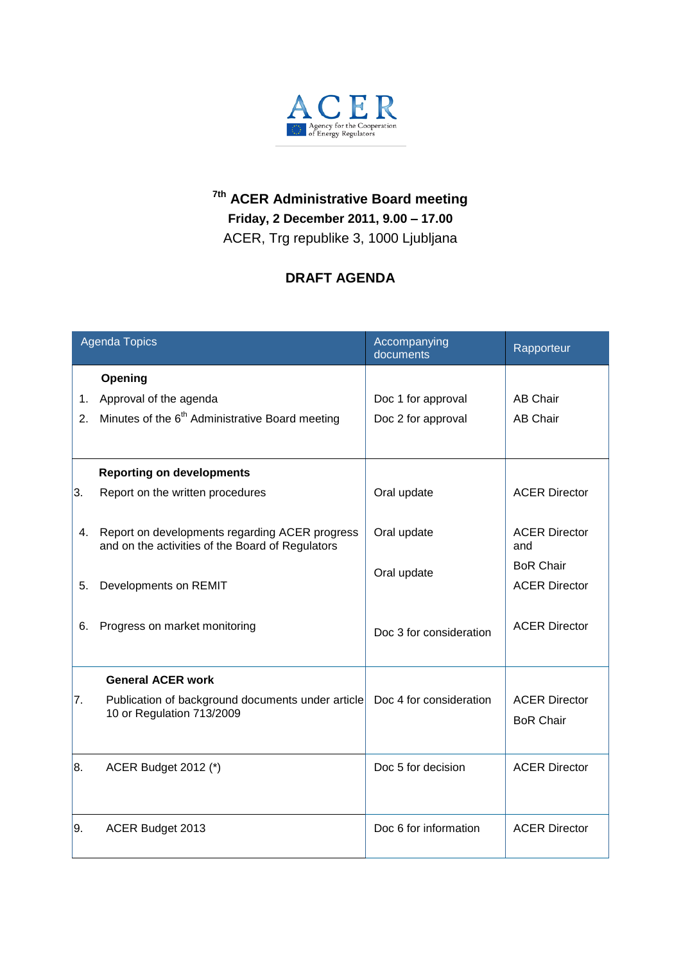

## **7th ACER Administrative Board meeting Friday, 2 December 2011, 9.00 – 17.00** ACER, Trg republike 3, 1000 Ljubljana

## **DRAFT AGENDA**

| <b>Agenda Topics</b> |                                                                                                    | Accompanying<br>documents                | Rapporteur                               |
|----------------------|----------------------------------------------------------------------------------------------------|------------------------------------------|------------------------------------------|
| 1.<br>2 <sub>1</sub> | Opening<br>Approval of the agenda<br>Minutes of the 6 <sup>th</sup> Administrative Board meeting   | Doc 1 for approval<br>Doc 2 for approval | <b>AB Chair</b><br><b>AB Chair</b>       |
| 3.                   | <b>Reporting on developments</b><br>Report on the written procedures                               | Oral update                              | <b>ACER Director</b>                     |
| 4.                   | Report on developments regarding ACER progress<br>and on the activities of the Board of Regulators | Oral update                              | <b>ACER Director</b><br>and              |
| 5.                   | Developments on REMIT                                                                              | Oral update                              | <b>BoR Chair</b><br><b>ACER Director</b> |
| 6.                   | Progress on market monitoring                                                                      | Doc 3 for consideration                  | <b>ACER Director</b>                     |
|                      | <b>General ACER work</b>                                                                           |                                          |                                          |
| 7.                   | Publication of background documents under article<br>10 or Regulation 713/2009                     | Doc 4 for consideration                  | <b>ACER Director</b><br><b>BoR Chair</b> |
| 8.                   | <b>ACER Budget 2012 (*)</b>                                                                        | Doc 5 for decision                       | <b>ACER Director</b>                     |
| 9.                   | ACER Budget 2013                                                                                   | Doc 6 for information                    | <b>ACER Director</b>                     |